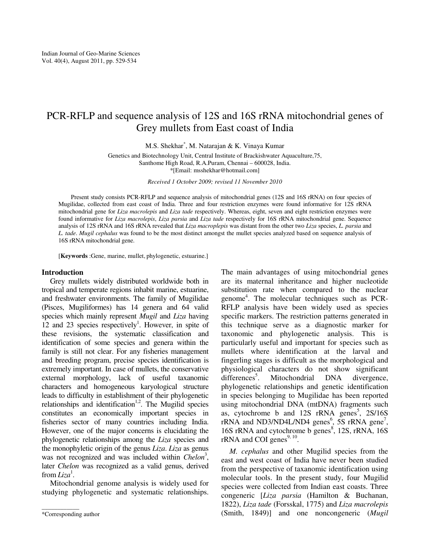# PCR-RFLP and sequence analysis of 12S and 16S rRNA mitochondrial genes of Grey mullets from East coast of India

M.S. Shekhar\* , M. Natarajan & K. Vinaya Kumar

Genetics and Biotechnology Unit, Central Institute of Brackishwater Aquaculture,75, Santhome High Road, R.A.Puram, Chennai – 600028, India. \*[Email: msshekhar@hotmail.com]

*Received 1 October 2009; revised 11 November 2010* 

Present study consists PCR-RFLP and sequence analysis of mitochondrial genes (12S and 16S rRNA) on four species of Mugilidae, collected from east coast of India. Three and four restriction enzymes were found informative for 12S rRNA mitochondrial gene for *Liza macrolepis* and *Liza tade* respectively. Whereas, eight, seven and eight restriction enzymes were found informative for *Liza macrolepis*, *Liza parsia* and *Liza tade* respectively for 16S rRNA mitochondrial gene. Sequence analysis of 12S rRNA and 16S rRNA revealed that *Liza macroplepis* was distant from the other two *Liza* species, *L. parsia* and *L. tade*. *Mugil cephalus* was found to be the most distinct amongst the mullet species analyzed based on sequence analysis of 16S rRNA mitochondrial gene.

[**Keywords** :Gene, marine, mullet, phylogenetic, estuarine.]

#### **Introduction**

Grey mullets widely distributed worldwide both in tropical and temperate regions inhabit marine, estuarine, and freshwater environments. The family of Mugilidae (Pisces, Mugiliformes) has 14 genera and 64 valid species which mainly represent *Mugil* and *Liza* having  $12$  and  $23$  species respectively<sup>1</sup>. However, in spite of these revisions, the systematic classification and identification of some species and genera within the family is still not clear. For any fisheries management and breeding program, precise species identification is extremely important. In case of mullets, the conservative external morphology, lack of useful taxanomic characters and homogeneous karyological structure leads to difficulty in establishment of their phylogenetic relationships and identification<sup>1,2</sup>. The Mugilid species constitutes an economically important species in fisheries sector of many countries including India. However, one of the major concerns is elucidating the phylogenetic relationships among the *Liza* species and the monophyletic origin of the genus *Liza*. *Liza* as genus was not recognized and was included within *Chelon*<sup>3</sup>, later *Chelon* was recognized as a valid genus, derived from *Liza*<sup>1</sup>.

Mitochondrial genome analysis is widely used for studying phylogenetic and systematic relationships.

\_\_\_\_\_\_\_\_\_\_\_\_

The main advantages of using mitochondrial genes are its maternal inheritance and higher nucleotide substitution rate when compared to the nuclear genome<sup>4</sup> . The molecular techniques such as PCR-RFLP analysis have been widely used as species specific markers. The restriction patterns generated in this technique serve as a diagnostic marker for taxonomic and phylogenetic analysis. This is particularly useful and important for species such as mullets where identification at the larval and fingerling stages is difficult as the morphological and physiological characters do not show significant differences<sup>3</sup>. . Mitochondrial DNA divergence, phylogenetic relationships and genetic identification in species belonging to Mugilidae has been reported using mitochondrial DNA (mtDNA) fragments such as, cytochrome b and  $12S$  rRNA genes<sup>5</sup>,  $2S/16S$  $rRNA$  and ND3/ND4L/ND4 genes<sup>6</sup>, 5S  $rRNA$  gene<sup>7</sup>, 16S rRNA and cytochrome b genes<sup>8</sup>, 12S, rRNA, 16S rRNA and COI genes $9, 10$ .

*M. cephalus* and other Mugilid species from the east and west coast of India have never been studied from the perspective of taxanomic identification using molecular tools. In the present study, four Mugilid species were collected from Indian east coasts. Three congeneric [*Liza parsia* (Hamilton & Buchanan, 1822), *Liza tade* (Forsskal, 1775) and *Liza macrolepis* (Smith, 1849)] and one noncongeneric (*Mugil* 

<sup>\*</sup>Corresponding author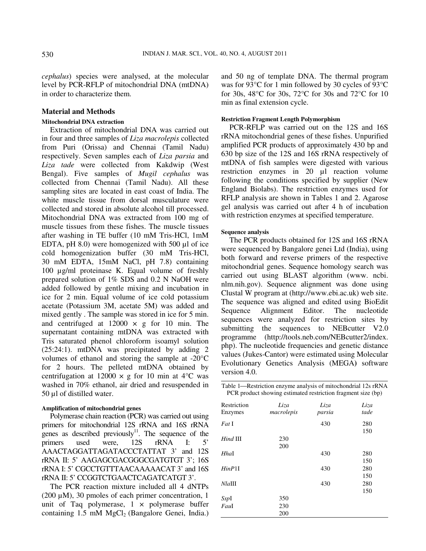*cephalus*) species were analysed, at the molecular level by PCR-RFLP of mitochondrial DNA (mtDNA) in order to characterize them.

# **Material and Methods**

### **Mitochondrial DNA extraction**

Extraction of mitochondrial DNA was carried out in four and three samples of *Liza macrolepis* collected from Puri (Orissa) and Chennai (Tamil Nadu) respectively. Seven samples each of *Liza parsia* and *Liza tade* were collected from Kakdwip (West Bengal). Five samples of *Mugil cephalus* was collected from Chennai (Tamil Nadu). All these sampling sites are located in east coast of India. The white muscle tissue from dorsal musculature were collected and stored in absolute alcohol till processed. Mitochondrial DNA was extracted from 100 mg of muscle tissues from these fishes. The muscle tissues after washing in TE buffer (10 mM Tris-HCl, 1mM EDTA, pH 8.0) were homogenized with 500 µl of ice cold homogenization buffer (30 mM Tris-HCl, 30 mM EDTA, 15mM NaCl, pH 7.8) containing 100 µg/ml proteinase K. Equal volume of freshly prepared solution of 1% SDS and 0.2 N NaOH were added followed by gentle mixing and incubation in ice for 2 min. Equal volume of ice cold potassium acetate (Potassium 3M, acetate 5M) was added and mixed gently . The sample was stored in ice for 5 min. and centrifuged at  $12000 \times g$  for 10 min. The supernatant containing mtDNA was extracted with Tris saturated phenol chloroform isoamyl solution (25:24:1). mtDNA was precipitated by adding 2 volumes of ethanol and storing the sample at -20°C for 2 hours. The pelleted mtDNA obtained by centrifugation at  $12000 \times g$  for 10 min at 4<sup>o</sup>C was washed in 70% ethanol, air dried and resuspended in 50 µl of distilled water.

#### **Amplification of mitochondrial genes**

Polymerase chain reaction (PCR) was carried out using primers for mitochondrial 12S rRNA and 16S rRNA genes as described previously $11$ . The sequence of the primers used were, 12S rRNA I: 5' AAACTAGGATTAGATACCCTATTAT 3' and 12S rRNA II: 5' AAGAGCGACGGGCGATGTGT 3'; 16S rRNA I: 5' CGCCTGTTTAACAAAAACAT 3' and 16S rRNA II: 5' CCGGTCTGAACTCAGATCATGT 3'.

The PCR reaction mixture included all 4 dNTPs (200  $\mu$ M), 30 pmoles of each primer concentration, 1 unit of Taq polymerase,  $1 \times$  polymerase buffer containing 1.5 mM MgCl<sub>2</sub> (Bangalore Genei, India.)

and 50 ng of template DNA. The thermal program was for 93°C for 1 min followed by 30 cycles of 93°C for 30s, 48°C for 30s, 72°C for 30s and 72°C for 10 min as final extension cycle.

#### **Restriction Fragment Length Polymorphism**

PCR-RFLP was carried out on the 12S and 16S rRNA mitochondrial genes of these fishes. Unpurified amplified PCR products of approximately 430 bp and 630 bp size of the 12S and 16S rRNA respectively of mtDNA of fish samples were digested with various restriction enzymes in 20 µl reaction volume following the conditions specified by supplier (New England Biolabs). The restriction enzymes used for RFLP analysis are shown in Tables 1 and 2. Agarose gel analysis was carried out after 4 h of incubation with restriction enzymes at specified temperature.

## **Sequence analysis**

The PCR products obtained for 12S and 16S rRNA were sequenced by Bangalore genei Ltd (India), using both forward and reverse primers of the respective mitochondrial genes. Sequence homology search was carried out using BLAST algorithm (www. ncbi. nlm.nih.gov). Sequence alignment was done using Clustal W program at (http://www.ebi.ac.uk) web site. The sequence was aligned and edited using BioEdit Sequence Alignment Editor. The nucleotide sequences were analyzed for restriction sites by submitting the sequences to NEB cutter V2.0 programme (http://tools.neb.com/NEBcutter2/index. php). The nucleotide frequencies and genetic distance values (Jukes-Cantor) were estimated using Molecular Evolutionary Genetics Analysis (MEGA**)** software version 4.0.

Table 1—Restriction enzyme analysis of mitochondrial 12s rRNA PCR product showing estimated restriction fragment size (bp)

| Restriction<br>Enzymes          | Liza<br>macrolepis | Liza<br>parsia | Liza<br>tade      |
|---------------------------------|--------------------|----------------|-------------------|
| $Fat$ I                         |                    | 430            | 280               |
| $Hind$ III                      | 230<br>200         |                | 150               |
| $Hh$ al                         |                    | 430            | 280               |
| $H$ <i>in</i> $P$ <sup>11</sup> |                    | 430            | 150<br>280        |
| $Nla$ III                       |                    | 430            | 150<br>280<br>150 |
| SspI                            | 350                |                |                   |
| FauI                            | 230                |                |                   |
|                                 | 200                |                |                   |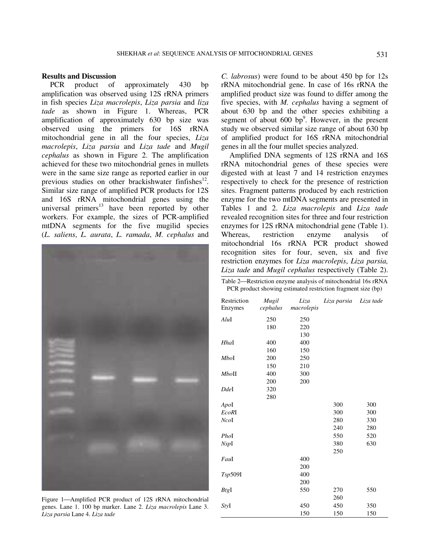#### **Results and Discussion**

PCR product of approximately 430 bp amplification was observed using 12S rRNA primers in fish species *Liza macrolepis*, *Liza parsia* and *liza tade* as shown in Figure 1. Whereas, PCR amplification of approximately 630 bp size was observed using the primers for 16S rRNA mitochondrial gene in all the four species, *Liza macrolepis*, *Liza parsia* and *Liza tade* and *Mugil cephalus* as shown in Figure 2. The amplification achieved for these two mitochondrial genes in mullets were in the same size range as reported earlier in our previous studies on other brackishwater finfishes<sup>12</sup>. Similar size range of amplified PCR products for 12S and 16S rRNA mitochondrial genes using the universal primers $^{13}$  have been reported by other workers. For example, the sizes of PCR-amplified mtDNA segments for the five mugilid species (*L. saliens*, *L. aurata*, *L. ramada*, *M. cephalus* and



Figure 1—Amplified PCR product of 12S rRNA mitochondrial genes. Lane 1. 100 bp marker. Lane 2. *Liza macrolepis* Lane 3. *Liza parsia* Lane 4. *Liza tade* 

*C. labrosus*) were found to be about 450 bp for 12s rRNA mitochondrial gene. In case of 16s rRNA the amplified product size was found to differ among the five species, with *M. cephalus* having a segment of about 630 bp and the other species exhibiting a segment of about  $600 \text{ bp}^9$ . However, in the present study we observed similar size range of about 630 bp of amplified product for 16S rRNA mitochondrial genes in all the four mullet species analyzed.

Amplified DNA segments of 12S rRNA and 16S rRNA mitochondrial genes of these species were digested with at least 7 and 14 restriction enzymes respectively to check for the presence of restriction sites. Fragment patterns produced by each restriction enzyme for the two mtDNA segments are presented in Tables 1 and 2. *Liza macrolepis* and *Liza tade* revealed recognition sites for three and four restriction enzymes for 12S rRNA mitochondrial gene (Table 1). Whereas, restriction enzyme analysis of mitochondrial 16s rRNA PCR product showed recognition sites for four, seven, six and five restriction enzymes for *Liza macrolepis*, *Liza parsia, Liza tade* and *Mugil cephalus* respectively (Table 2).

Table 2—Restriction enzyme analysis of mitochondrial 16s rRNA PCR product showing estimated restriction fragment size (bp)

| Restriction | Mugil<br>cephalus | Liza<br>macrolepis | Liza parsia | Liza tade |
|-------------|-------------------|--------------------|-------------|-----------|
| Enzymes     |                   |                    |             |           |
| AluI        | 250               | 250                |             |           |
|             | 180               | 220                |             |           |
|             |                   | 130                |             |           |
| Hhal        | 400               | 400                |             |           |
|             | 160               | 150                |             |           |
| MboI        | 200               | 250                |             |           |
|             | 150               | 210                |             |           |
| MboII       | 400               | 300                |             |           |
|             | 200               | 200                |             |           |
| Ddel        | 320               |                    |             |           |
|             | 280               |                    |             |           |
| ApoI        |                   |                    | 300         | 300       |
| EcoRI       |                   |                    | 300         | 300       |
| NcoI        |                   |                    | 280         | 330       |
|             |                   |                    | 240         | 280       |
| PhoI        |                   |                    | 550         | 520       |
| NspI        |                   |                    | 380         | 630       |
|             |                   |                    | 250         |           |
| FauI        |                   | 400                |             |           |
|             |                   | 200                |             |           |
| Tsp509I     |                   | 400                |             |           |
|             |                   | 200                |             |           |
| BtgI        |                   | 550                | 270         | 550       |
|             |                   |                    | 260         |           |
| StyI        |                   | 450                | 450         | 350       |
|             |                   | 150                | 150         | 150       |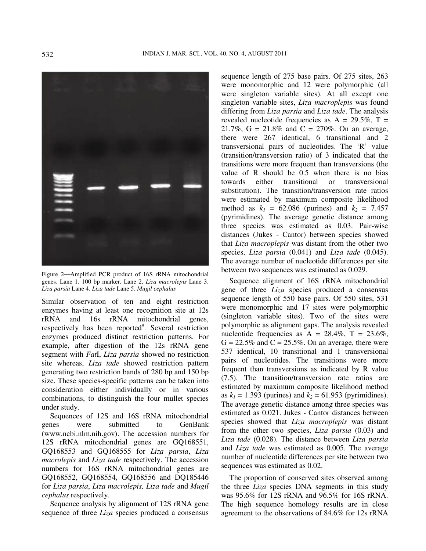

Figure 2-Amplified PCR product of 16S rRNA mitochondrial genes. Lane 1. 100 bp marker. Lane 2. *Liza macrolepis* Lane 3. *Liza parsia* Lane 4. *Liza tade* Lane 5. *Mugil cephalus* 

Similar observation of ten and eight restriction enzymes having at least one recognition site at 12s rRNA and 16s rRNA mitochondrial genes, respectively has been reported<sup>9</sup>. Several restriction enzymes produced distinct restriction patterns. For example, after digestion of the 12s rRNA gene segment with *Fat*I, *Liza parsia* showed no restriction site whereas, *Liza tade* showed restriction pattern generating two restriction bands of 280 bp and 150 bp size. These species-specific patterns can be taken into consideration either individually or in various combinations, to distinguish the four mullet species under study.

Sequences of 12S and 16S rRNA mitochondrial genes were submitted to GenBank (www.ncbi.nlm.nih.gov). The accession numbers for 12S rRNA mitochondrial genes are GQ168551, GQ168553 and GQ168555 for *Liza parsia*, *Liza macrolepis* and *Liza tade* respectively. The accession numbers for 16S rRNA mitochondrial genes are GQ168552, GQ168554, GQ168556 and DQ185446 for *Liza parsia*, *Liza macrolepis, Liza tade* and *Mugil cephalus* respectively.

Sequence analysis by alignment of 12S rRNA gene sequence of three *Liza* species produced a consensus

sequence length of 275 base pairs. Of 275 sites, 263 were monomorphic and 12 were polymorphic (all were singleton variable sites). At all except one singleton variable sites, *Liza macroplepis* was found differing from *Liza parsia* and *Liza tade*. The analysis revealed nucleotide frequencies as  $A = 29.5\%$ ,  $T =$ 21.7%,  $G = 21.8\%$  and  $C = 270\%$ . On an average, there were 267 identical, 6 transitional and 2 transversional pairs of nucleotides. The 'R' value (transition/transversion ratio) of 3 indicated that the transitions were more frequent than transversions (the value of R should be 0.5 when there is no bias towards either transitional or transversional substitution). The transition/transversion rate ratios were estimated by maximum composite likelihood method as  $k_1 = 62.086$  (purines) and  $k_2 = 7.457$ (pyrimidines). The average genetic distance among three species was estimated as 0.03. Pair-wise distances (Jukes - Cantor) between species showed that *Liza macroplepis* was distant from the other two species, *Liza parsia* (0.041) and *Liza tade* (0.045). The average number of nucleotide differences per site between two sequences was estimated as 0.029.

Sequence alignment of 16S rRNA mitochondrial gene of three *Liza* species produced a consensus sequence length of 550 base pairs. Of 550 sites, 531 were monomorphic and 17 sites were polymorphic (singleton variable sites). Two of the sites were polymorphic as alignment gaps. The analysis revealed nucleotide frequencies as  $A = 28.4\%$ ,  $T = 23.6\%$ ,  $G = 22.5\%$  and  $C = 25.5\%$ . On an average, there were 537 identical, 10 transitional and 1 transversional pairs of nucleotides. The transitions were more frequent than transversions as indicated by R value (7.5). The transition/transversion rate ratios are estimated by maximum composite likelihood method as  $k_1 = 1.393$  (purines) and  $k_2 = 61.953$  (pyrimidines). The average genetic distance among three species was estimated as 0.021. Jukes - Cantor distances between species showed that *Liza macroplepis* was distant from the other two species, *Liza parsia* (0.03) and *Liza tade* (0.028). The distance between *Liza parsia* and *Liza tade* was estimated as 0.005. The average number of nucleotide differences per site between two sequences was estimated as 0.02.

The proportion of conserved sites observed among the three *Liza* species DNA segments in this study was 95.6% for 12S rRNA and 96.5% for 16S rRNA. The high sequence homology results are in close agreement to the observations of 84.6% for 12s rRNA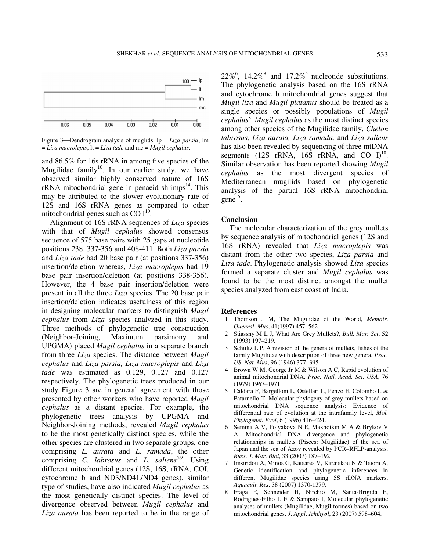

Figure 3—Dendrogram analysis of muglids.  $lp = Liza \text{ } parasia$ ; lm = *Liza macrolepis*; lt = *Liza tade* and mc = *Mugil cephalus*.

and 86.5% for 16s rRNA in among five species of the Mugilidae family<sup>10</sup>. In our earlier study, we have observed similar highly conserved nature of 16S  $rRNA$  mitochondrial gene in penaeid shrimps<sup>14</sup>. This may be attributed to the slower evolutionary rate of 12S and 16S rRNA genes as compared to other mitochondrial genes such as  $CO I^{10}$ .

Alignment of 16S rRNA sequences of *Liza* species with that of *Mugil cephalus* showed consensus sequence of 575 base pairs with 25 gaps at nucleotide positions 238, 337-356 and 408-411. Both *Liza parsia* and *Liza tade* had 20 base pair (at positions 337-356) insertion/deletion whereas, *Liza macroplepis* had 19 base pair insertion/deletion (at positions 338-356). However, the 4 base pair insertion/deletion were present in all the three *Liza* species. The 20 base pair insertion/deletion indicates usefulness of this region in designing molecular markers to distinguish *Mugil cephalus* from *Liza* species analyzed in this study. Three methods of phylogenetic tree construction (Neighbor-Joining, Maximum parsimony and UPGMA) placed *Mugil cephalus* in a separate branch from three *Liza* species. The distance between *Mugil cephalus* and *Liza parsia, Liza macroplepis* and *Liza tade* was estimated as 0.129, 0.127 and 0.127 respectively. The phylogenetic trees produced in our study Figure 3 are in general agreement with those presented by other workers who have reported *Mugil cephalus* as a distant species. For example, the phylogenetic trees analysis by UPGMA and Neighbor-Joining methods, revealed *Mugil cephalus*  to be the most genetically distinct species, while the other species are clustered in two separate groups, one comprising *L. aurata* and *L. ramada*, the other comprising *C. labrosus* and *L. saliens*<sup>5,9</sup>. Using different mitochondrial genes (12S, 16S, rRNA, COI, cytochrome b and ND3/ND4L/ND4 genes), similar type of studies, have also indicated *Mugil cephalus* as the most genetically distinct species. The level of divergence observed between *Mugil cephalus* and *Liza aurata* has been reported to be in the range of

22%<sup>6</sup>, 14.2%<sup>9</sup> and 17.2%<sup>5</sup> nucleotide substitutions. The phylogenetic analysis based on the 16S rRNA and cytochrome b mitochondrial genes suggest that *Mugil liza* and *Mugil platanus* should be treated as a single species or possibly populations of *Mugil*  cephalus<sup>8</sup>. Mugil cephalus as the most distinct species among other species of the Mugilidae family, *Chelon labrosus, Liza aurata, Liza ramada,* and *Liza saliens* has also been revealed by sequencing of three mtDNA segments (12S rRNA, 16S rRNA, and CO  $I^{10}$ . Similar observation has been reported showing *Mugil cephalus* as the most divergent species of Mediterranean mugilids based on phylogenetic analysis of the partial 16S rRNA mitochondrial  $\text{gene}^{15}$ .

#### **Conclusion**

The molecular characterization of the grey mullets by sequence analysis of mitochondrial genes (12S and 16S rRNA) revealed that *Liza macroplepis* was distant from the other two species, *Liza parsia* and *Liza tade*. Phylogenetic analysis showed *Liza* species formed a separate cluster and *Mugil cephalus* was found to be the most distinct amongst the mullet species analyzed from east coast of India.

#### **References**

- 1 Thomson J M, The Mugilidae of the World, *Memoir*. *Queensl*. *Mus*, 41(1997) 457–562.
- 2 Stiassny M L J, What Are Grey Mullets?, *Bull. Mar. Sci*, 52 (1993) 197–219.
- 3 Schultz L P, A revision of the genera of mullets, fishes of the family Mugilidae with description of three new genera. *Proc. US. Nat. Mus*, 96 (1946) 377–395.
- 4 Brown W M, George Jr M & Wilson A C, Rapid evolution of animal mitochondrial DNA, *Proc. Natl. Acad. Sci. USA*, 76 (1979) 1967–1971.
- 5 Caldara F, Bargelloni L, Ostellari L, Penzo E, Colombo L & Patarnello T, Molecular phylogeny of grey mullets based on mitochondrial DNA sequence analysis: Evidence of differential rate of evolution at the intrafamily level, *Mol. Phylogenet. Evol*, 6 (1996) 416–424.
- 6 Semina A V, Polyakova N E, Makhotkin M A & Brykov V A, Mitochondrial DNA divergence and phylogenetic relationships in mullets (Pisces: Mugilidae) of the sea of Japan and the sea of Azov revealed by PCR–RFLP-analysis. *Russ*. *J*. *Mar*. *Biol*, 33 (2007) 187–192.
- 7 Imsiridou A, Minos G, Katsares V, Karaiskou N & Tsiora A, Genetic identification and phylogenetic inferences in different Mugilidae species using 5S rDNA markers, *Aquacult*. *Res*, 38 (2007) 1370-1379.
- 8 Fraga E, Schneider H, Nirchio M, Santa-Brigida E, Rodrigues-Filho L F & Sampaio I, Molecular phylogenetic analyses of mullets (Mugilidae, Mugiliformes) based on two mitochondrial genes, *J*. *Appl*. *Ichthyol*, 23 (2007) 598–604.